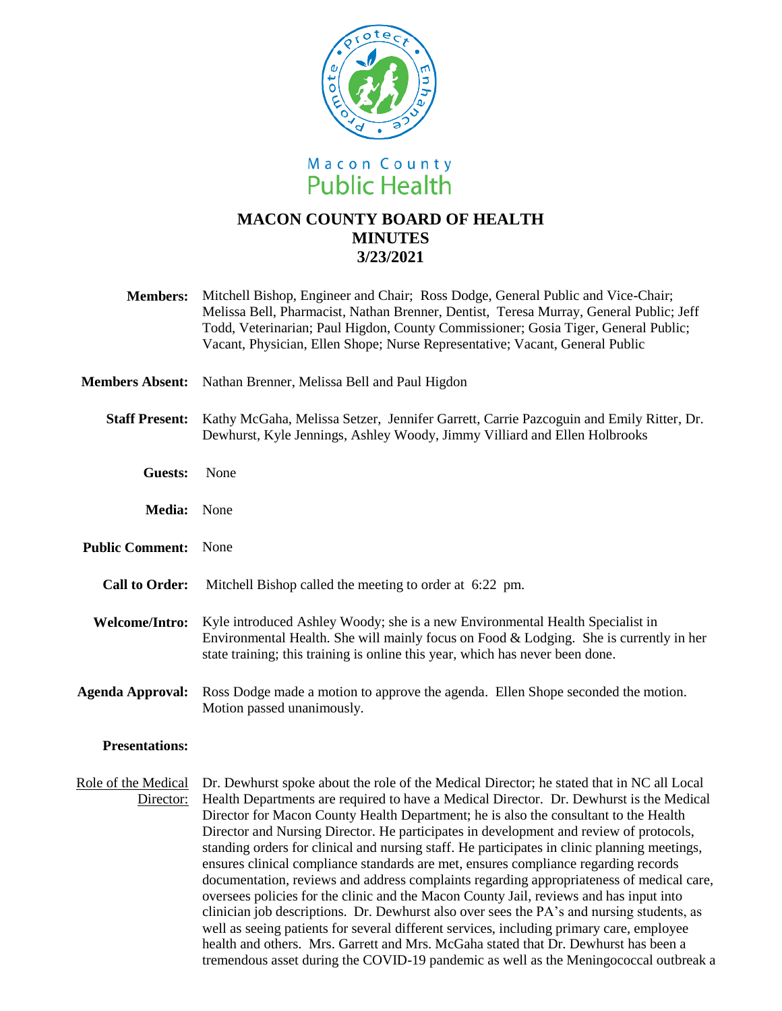

## **MACON COUNTY BOARD OF HEALTH MINUTES 3/23/2021**

- **Members:** Mitchell Bishop, Engineer and Chair; Ross Dodge, General Public and Vice-Chair; Melissa Bell, Pharmacist, Nathan Brenner, Dentist, Teresa Murray, General Public; Jeff Todd, Veterinarian; Paul Higdon, County Commissioner; Gosia Tiger, General Public; Vacant, Physician, Ellen Shope; Nurse Representative; Vacant, General Public
- **Members Absent:** Nathan Brenner, Melissa Bell and Paul Higdon
	- **Staff Present:** Kathy McGaha, Melissa Setzer, Jennifer Garrett, Carrie Pazcoguin and Emily Ritter, Dr. Dewhurst, Kyle Jennings, Ashley Woody, Jimmy Villiard and Ellen Holbrooks
		- **Guests:** None
		- **Media:** None
- **Public Comment:** None
	- **Call to Order:** Mitchell Bishop called the meeting to order at 6:22 pm.
- **Welcome/Intro:** Kyle introduced Ashley Woody; she is a new Environmental Health Specialist in Environmental Health. She will mainly focus on Food & Lodging. She is currently in her state training; this training is online this year, which has never been done.
- **Agenda Approval:** Ross Dodge made a motion to approve the agenda. Ellen Shope seconded the motion. Motion passed unanimously.

## **Presentations:**

Role of the Medical Dr. Dewhurst spoke about the role of the Medical Director; he stated that in NC all Local Director: Health Departments are required to have a Medical Director. Dr. Dewhurst is the Medical Director for Macon County Health Department; he is also the consultant to the Health Director and Nursing Director. He participates in development and review of protocols, standing orders for clinical and nursing staff. He participates in clinic planning meetings, ensures clinical compliance standards are met, ensures compliance regarding records documentation, reviews and address complaints regarding appropriateness of medical care, oversees policies for the clinic and the Macon County Jail, reviews and has input into clinician job descriptions. Dr. Dewhurst also over sees the PA's and nursing students, as well as seeing patients for several different services, including primary care, employee health and others. Mrs. Garrett and Mrs. McGaha stated that Dr. Dewhurst has been a tremendous asset during the COVID-19 pandemic as well as the Meningococcal outbreak a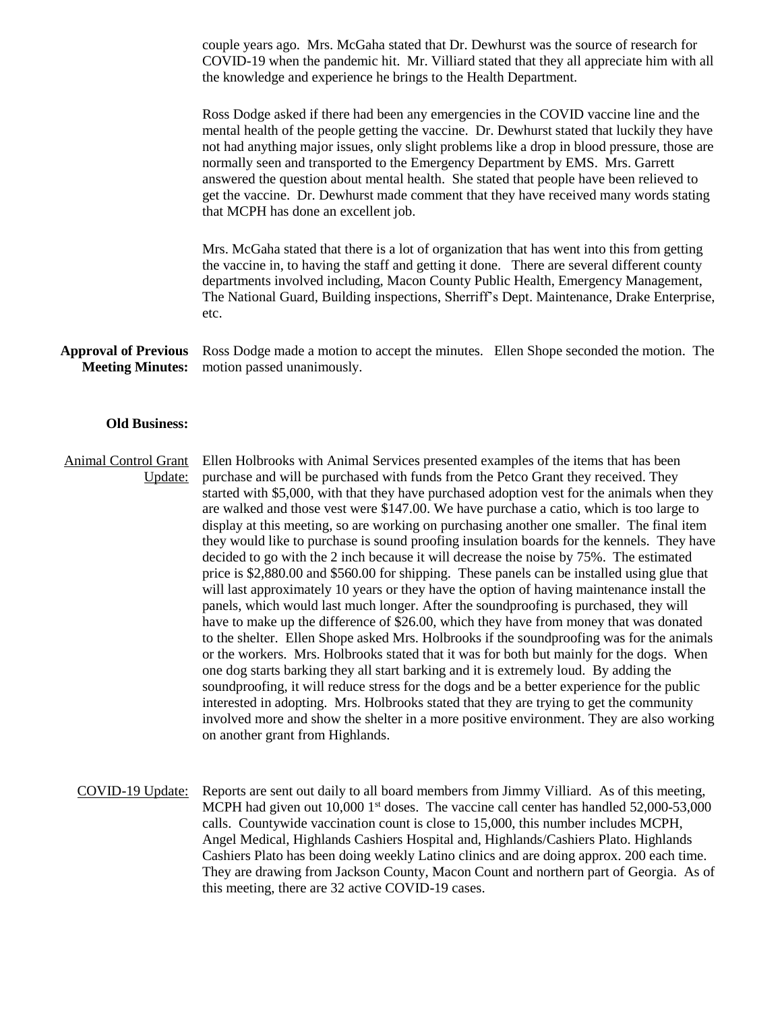couple years ago. Mrs. McGaha stated that Dr. Dewhurst was the source of research for COVID-19 when the pandemic hit. Mr. Villiard stated that they all appreciate him with all the knowledge and experience he brings to the Health Department.

Ross Dodge asked if there had been any emergencies in the COVID vaccine line and the mental health of the people getting the vaccine. Dr. Dewhurst stated that luckily they have not had anything major issues, only slight problems like a drop in blood pressure, those are normally seen and transported to the Emergency Department by EMS. Mrs. Garrett answered the question about mental health. She stated that people have been relieved to get the vaccine. Dr. Dewhurst made comment that they have received many words stating that MCPH has done an excellent job.

Mrs. McGaha stated that there is a lot of organization that has went into this from getting the vaccine in, to having the staff and getting it done. There are several different county departments involved including, Macon County Public Health, Emergency Management, The National Guard, Building inspections, Sherriff's Dept. Maintenance, Drake Enterprise, etc.

**Approval of Previous Meeting Minutes:** Ross Dodge made a motion to accept the minutes. Ellen Shope seconded the motion. The motion passed unanimously.

## **Old Business:**

Animal Control Grant Update: Ellen Holbrooks with Animal Services presented examples of the items that has been purchase and will be purchased with funds from the Petco Grant they received. They started with \$5,000, with that they have purchased adoption vest for the animals when they are walked and those vest were \$147.00. We have purchase a catio, which is too large to display at this meeting, so are working on purchasing another one smaller. The final item they would like to purchase is sound proofing insulation boards for the kennels. They have decided to go with the 2 inch because it will decrease the noise by 75%. The estimated price is \$2,880.00 and \$560.00 for shipping. These panels can be installed using glue that will last approximately 10 years or they have the option of having maintenance install the panels, which would last much longer. After the soundproofing is purchased, they will have to make up the difference of \$26.00, which they have from money that was donated to the shelter. Ellen Shope asked Mrs. Holbrooks if the soundproofing was for the animals or the workers. Mrs. Holbrooks stated that it was for both but mainly for the dogs. When one dog starts barking they all start barking and it is extremely loud. By adding the soundproofing, it will reduce stress for the dogs and be a better experience for the public interested in adopting. Mrs. Holbrooks stated that they are trying to get the community involved more and show the shelter in a more positive environment. They are also working on another grant from Highlands.

COVID-19 Update: Reports are sent out daily to all board members from Jimmy Villiard. As of this meeting, MCPH had given out  $10,000$  1<sup>st</sup> doses. The vaccine call center has handled  $52,000$ - $53,000$ calls. Countywide vaccination count is close to 15,000, this number includes MCPH, Angel Medical, Highlands Cashiers Hospital and, Highlands/Cashiers Plato. Highlands Cashiers Plato has been doing weekly Latino clinics and are doing approx. 200 each time. They are drawing from Jackson County, Macon Count and northern part of Georgia. As of this meeting, there are 32 active COVID-19 cases.